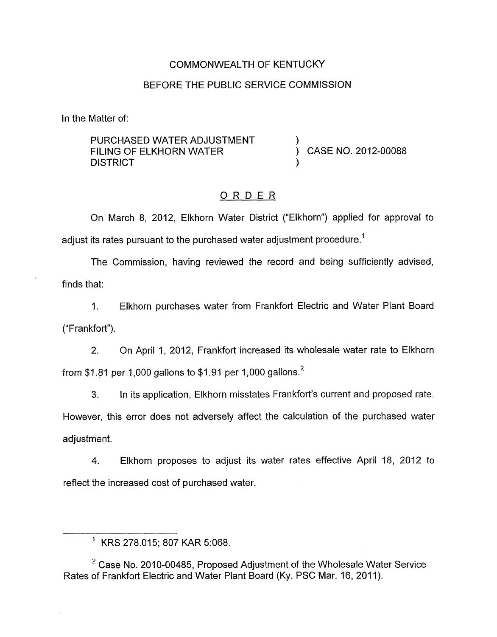## COMMONWEALTH OF KENTUCKY

## BEFORE THE PUBLIC SERVICE COMMISSION

In the Matter of:

PURCHASED WATER ADJUSTMENT **DISTRICT** FILING OF ELKHORN WATER  $\overrightarrow{)}$  CASE NO. 2012-00088

## ORDER

On March 8, 2012, Elkhorn Water District ("Elkhorn") applied for approval to adjust its rates pursuant to the purchased water adjustment procedure.<sup>1</sup>

The Commission, having reviewed the record and being sufficiently advised, finds that:

1. Elkhorn purchases water from Frankfort Electric and Water Plant Board ("Frankfort").

2. On April I, 2012, Frankfort increased its wholesale water rate to Elkhorn from \$1.81 per 1,000 gallons to \$1.91 per 1,000 gallons.<sup>2</sup>

**3.** In its application, Elkhorn misstates Frankfort's current and proposed rate. However, this error does not adversely affect the calculation of the purchased water adjustment.

4. Elkhorn proposes to adjust its water rates effective April 18, 2012 to reflect the increased cost of purchased water.

<sup>2</sup> Case No. 2010-00485, Proposed Adjustment of the Wholesale Water Service Rates of Frankfort Electric and Water Plant Board (Ky. PSC Mar. 16, 2011).

<sup>&#</sup>x27; KRS 278.015; 807 KAR 5:068.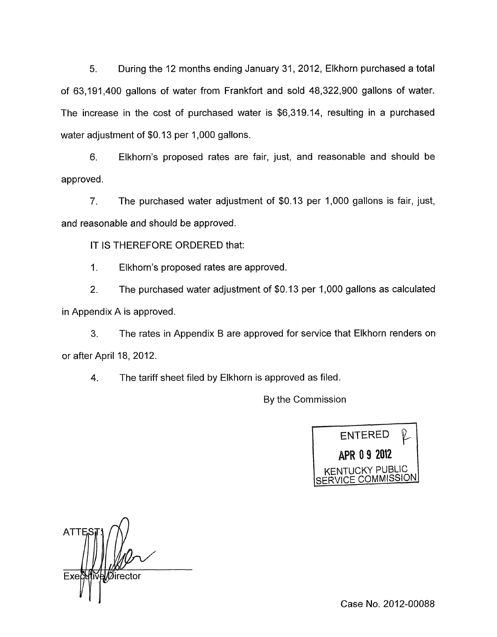5. During the 12 months ending January 31 , 2012, Elkhorn purchased a total of 63,191,400 gallons of water from Frankfort and sold 48,322,900 gallons of water. The increase in the cost of purchased water is \$6,319.14, resulting in a purchased water adjustment of \$0.13 per 1,000 gallons.

6. Elkhorn's proposed rates are fair, just, and reasonable and should be approved.

*7.* The purchased water adjustment of \$0.13 per 1,000 gallons is fair, just, and reasonable and should be approved.

IT **IS** THEREFORE ORDERED that:

1. Elkhorn's proposed rates are approved.

2. The purchased water adjustment of \$0.13 per 1,000 gallons as calculated in Appendix A is approved

3. The rates in Appendix B are approved for service that Elkhorn renders on or after April 18, 2012.

4. The tariff sheet filed by Elkhorn is approved as filed.

By the Commission



**ATT** a∭irectoi Exe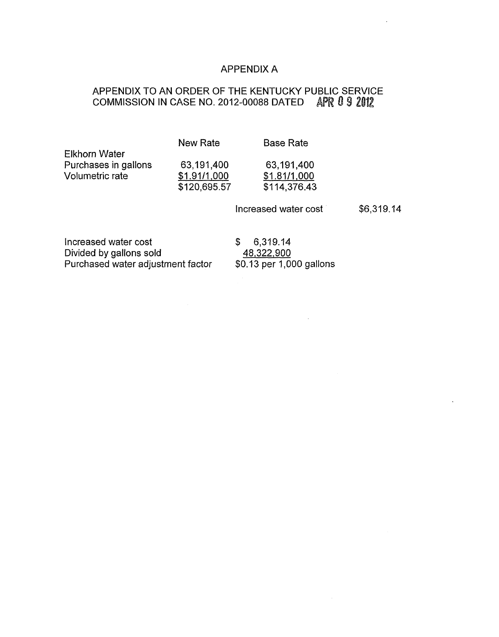# APPENDIX A

# APPENDIX TO AN ORDER OF THE KENTUCKY PUBLIC SERVICE COMMISSION IN CASE NO. 2012-00088 DATED APR 0 9 2012

|                      | New Rate     | <b>Base Rate</b> |
|----------------------|--------------|------------------|
| <b>Elkhorn Water</b> |              |                  |
| Purchases in gallons | 63,191,400   | 63,191,400       |
| Volumetric rate      | \$1.91/1,000 | \$1.81/1,000     |
|                      | \$120,695.57 | \$114,376.43     |
|                      |              |                  |

Increased water cost \$6,319.14

Increased water cost  $$ 6,319.14$ <br>Divided by gallons sold  $$ 48,322,900$ Divided by gallons sold  $\underline{48,322,900}$ Purchased water adjustment factor \$0.13 per 1,000 gallons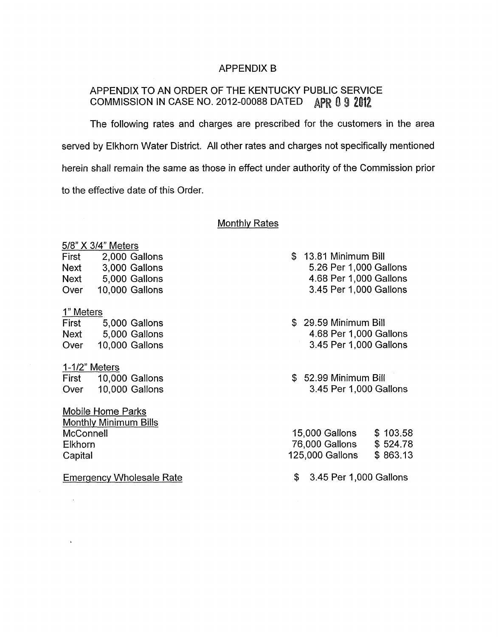### APPENDIX B

## APPENDIX TO AN ORDER OF THE KENTUCKY PUBLIC SERVICE COMMISSION IN CASE NO. 2012-00088 DATED APR 0 9 2012

The following rates and charges are prescribed for the customers in the area served by Elkhorn Water District. All other rates and charges not specifically mentioned herein shall remain the same as those in effect under authority of the Commission prior to the effective date of this Order.

#### Monthlv Rates

| 5/8" X 3/4" Meters |                |  |  |
|--------------------|----------------|--|--|
| First              | 2,000 Gallons  |  |  |
| <b>Next</b>        | 3,000 Gallons  |  |  |
| <b>Next</b>        | 5,000 Gallons  |  |  |
| Over               | 10,000 Gallons |  |  |
|                    |                |  |  |
| 8 - 1 - - -        |                |  |  |

<u>1" Meters</u> First 5,000 Gallons Next 5,000 Gallons Over 10,000 Gallons

1-1 *12"* Meters First 10,000 Gallons Over 10,000 Gallons

Mobile Home Parks Monthly Minimum Bills **McConnell** Elkhorn **Capital** 

 $\ddot{\phantom{a}}$ 

Emergency Wholesale Rate

- \$ 13.81 Minimum Bill 5.26 Per 1,000 Gallons 4.68 Per 1,000 Gallons 3.45 Per 1,000 Gallons
- \$ 29.59 Minimum Bill 4.68 Per 1,000 Gallons 3.45 Per 1,000 Gallons
- \$ 52.99 Minimum Bill 3.45 Per 1,000 Gallons

| 15,000 Gallons  | \$103.58 |
|-----------------|----------|
| 76,000 Gallons  | \$524.78 |
| 125,000 Gallons | \$863.13 |

\$ 3.45 Per 1,000 Gallons